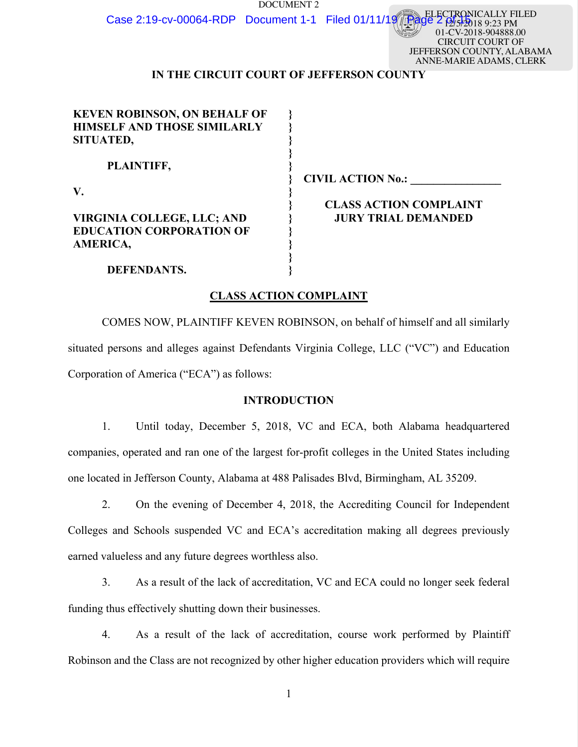DOCUMENT 2 Case 2:19-cv-00064-RDP Document 1-1 Filed 01/11/19

 $89.23$  PM 01-CV-2018-904888.00 CIRCUIT COURT OF JEFFERSON COUNTY, ALABAMA ANNE-MARIE ADAMS, CLERK

ELECTRONICALLY FILED

# **IN THE CIRCUIT COURT OF JEFFERSON COUNTY**

| <b>KEVEN ROBINSON, ON BEHALF OF</b> |                               |
|-------------------------------------|-------------------------------|
| <b>HIMSELF AND THOSE SIMILARLY</b>  |                               |
| SITUATED,                           |                               |
|                                     |                               |
| PLAINTIFF,                          |                               |
|                                     | <b>CIVIL ACTION No.:</b>      |
| V.                                  |                               |
|                                     | <b>CLASS ACTION COMPLAINT</b> |
| VIRGINIA COLLEGE, LLC; AND          | <b>JURY TRIAL DEMANDED</b>    |
| <b>EDUCATION CORPORATION OF</b>     |                               |
| <b>AMERICA,</b>                     |                               |
|                                     |                               |
| DEFENDANTS.                         |                               |
|                                     |                               |
|                                     |                               |

## **CLASS ACTION COMPLAINT**

COMES NOW, PLAINTIFF KEVEN ROBINSON, on behalf of himself and all similarly situated persons and alleges against Defendants Virginia College, LLC ("VC") and Education Corporation of America ("ECA") as follows:

## **INTRODUCTION**

1. Until today, December 5, 2018, VC and ECA, both Alabama headquartered companies, operated and ran one of the largest for-profit colleges in the United States including one located in Jefferson County, Alabama at 488 Palisades Blvd, Birmingham, AL 35209.

- 2. On the evening of December 4, 2018, the Accrediting Council for Independent Colleges and Schools suspended VC and ECA's accreditation making all degrees previously earned valueless and any future degrees worthless also.
- 3. As a result of the lack of accreditation, VC and ECA could no longer seek federal funding thus effectively shutting down their businesses.

4. As a result of the lack of accreditation, course work performed by Plaintiff Robinson and the Class are not recognized by other higher education providers which will require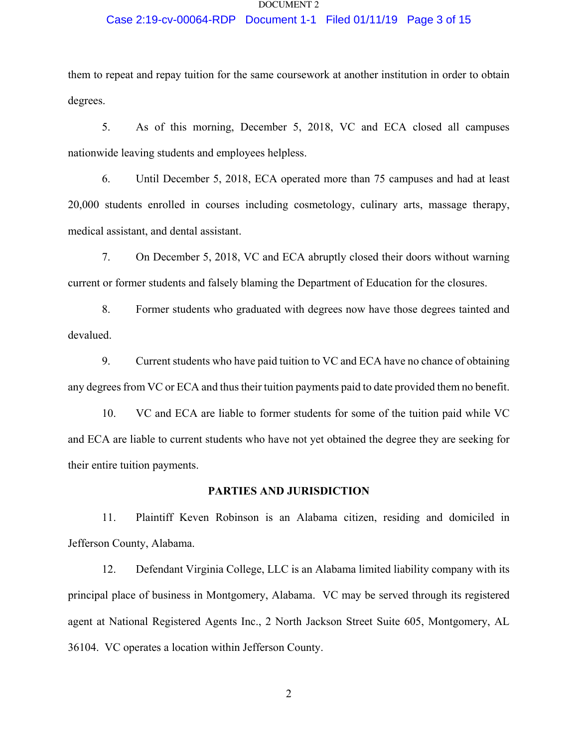### Case 2:19-cv-00064-RDP Document 1-1 Filed 01/11/19 Page 3 of 15

them to repeat and repay tuition for the same coursework at another institution in order to obtain degrees.

5. As of this morning, December 5, 2018, VC and ECA closed all campuses nationwide leaving students and employees helpless.

6. Until December 5, 2018, ECA operated more than 75 campuses and had at least 20,000 students enrolled in courses including cosmetology, culinary arts, massage therapy, medical assistant, and dental assistant.

7. On December 5, 2018, VC and ECA abruptly closed their doors without warning current or former students and falsely blaming the Department of Education for the closures.

8. Former students who graduated with degrees now have those degrees tainted and devalued.

9. Current students who have paid tuition to VC and ECA have no chance of obtaining any degrees from VC or ECA and thus their tuition payments paid to date provided them no benefit.

10. VC and ECA are liable to former students for some of the tuition paid while VC and ECA are liable to current students who have not yet obtained the degree they are seeking for their entire tuition payments.

## **PARTIES AND JURISDICTION**

11. Plaintiff Keven Robinson is an Alabama citizen, residing and domiciled in Jefferson County, Alabama.

12. Defendant Virginia College, LLC is an Alabama limited liability company with its principal place of business in Montgomery, Alabama. VC may be served through its registered agent at National Registered Agents Inc., 2 North Jackson Street Suite 605, Montgomery, AL 36104. VC operates a location within Jefferson County.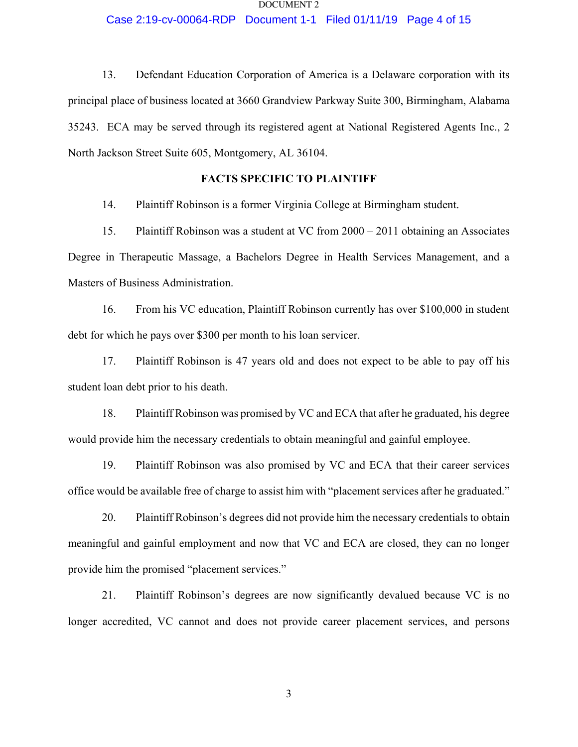### Case 2:19-cv-00064-RDP Document 1-1 Filed 01/11/19 Page 4 of 15

13. Defendant Education Corporation of America is a Delaware corporation with its principal place of business located at 3660 Grandview Parkway Suite 300, Birmingham, Alabama 35243. ECA may be served through its registered agent at National Registered Agents Inc., 2 North Jackson Street Suite 605, Montgomery, AL 36104.

## **FACTS SPECIFIC TO PLAINTIFF**

14. Plaintiff Robinson is a former Virginia College at Birmingham student.

15. Plaintiff Robinson was a student at VC from 2000 – 2011 obtaining an Associates Degree in Therapeutic Massage, a Bachelors Degree in Health Services Management, and a Masters of Business Administration.

16. From his VC education, Plaintiff Robinson currently has over \$100,000 in student debt for which he pays over \$300 per month to his loan servicer.

17. Plaintiff Robinson is 47 years old and does not expect to be able to pay off his student loan debt prior to his death.

18. Plaintiff Robinson was promised by VC and ECA that after he graduated, his degree would provide him the necessary credentials to obtain meaningful and gainful employee.

19. Plaintiff Robinson was also promised by VC and ECA that their career services office would be available free of charge to assist him with "placement services after he graduated."

20. Plaintiff Robinson's degrees did not provide him the necessary credentials to obtain meaningful and gainful employment and now that VC and ECA are closed, they can no longer provide him the promised "placement services."

21. Plaintiff Robinson's degrees are now significantly devalued because VC is no longer accredited, VC cannot and does not provide career placement services, and persons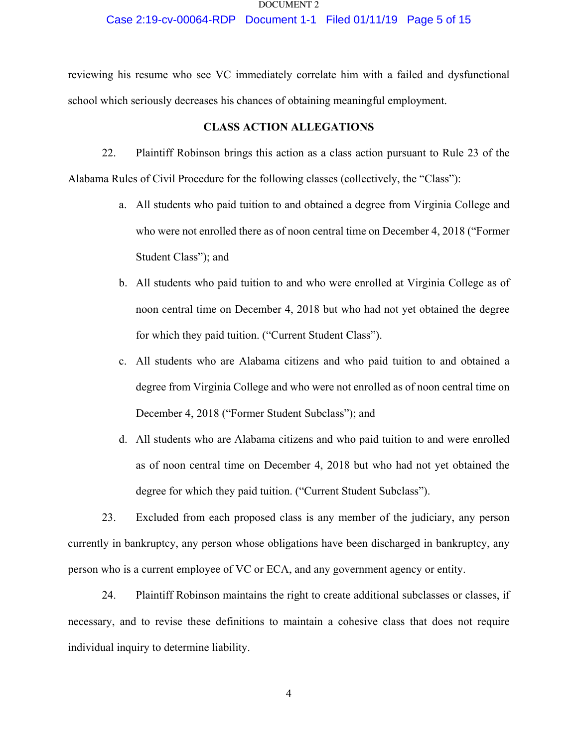### Case 2:19-cv-00064-RDP Document 1-1 Filed 01/11/19 Page 5 of 15

reviewing his resume who see VC immediately correlate him with a failed and dysfunctional school which seriously decreases his chances of obtaining meaningful employment.

## **CLASS ACTION ALLEGATIONS**

22. Plaintiff Robinson brings this action as a class action pursuant to Rule 23 of the Alabama Rules of Civil Procedure for the following classes (collectively, the "Class"):

- a. All students who paid tuition to and obtained a degree from Virginia College and who were not enrolled there as of noon central time on December 4, 2018 ("Former Student Class"); and
- b. All students who paid tuition to and who were enrolled at Virginia College as of noon central time on December 4, 2018 but who had not yet obtained the degree for which they paid tuition. ("Current Student Class").
- c. All students who are Alabama citizens and who paid tuition to and obtained a degree from Virginia College and who were not enrolled as of noon central time on December 4, 2018 ("Former Student Subclass"); and
- d. All students who are Alabama citizens and who paid tuition to and were enrolled as of noon central time on December 4, 2018 but who had not yet obtained the degree for which they paid tuition. ("Current Student Subclass").

23. Excluded from each proposed class is any member of the judiciary, any person currently in bankruptcy, any person whose obligations have been discharged in bankruptcy, any person who is a current employee of VC or ECA, and any government agency or entity.

24. Plaintiff Robinson maintains the right to create additional subclasses or classes, if necessary, and to revise these definitions to maintain a cohesive class that does not require individual inquiry to determine liability.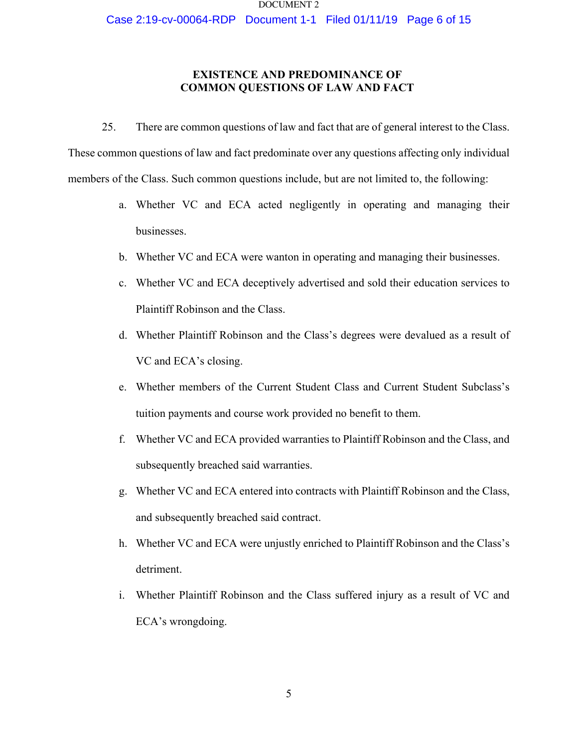Case 2:19-cv-00064-RDP Document 1-1 Filed 01/11/19 Page 6 of 15

## **EXISTENCE AND PREDOMINANCE OF COMMON QUESTIONS OF LAW AND FACT**

25. There are common questions of law and fact that are of general interest to the Class. These common questions of law and fact predominate over any questions affecting only individual members of the Class. Such common questions include, but are not limited to, the following:

- a. Whether VC and ECA acted negligently in operating and managing their businesses.
- b. Whether VC and ECA were wanton in operating and managing their businesses.
- c. Whether VC and ECA deceptively advertised and sold their education services to Plaintiff Robinson and the Class.
- d. Whether Plaintiff Robinson and the Class's degrees were devalued as a result of VC and ECA's closing.
- e. Whether members of the Current Student Class and Current Student Subclass's tuition payments and course work provided no benefit to them.
- f. Whether VC and ECA provided warranties to Plaintiff Robinson and the Class, and subsequently breached said warranties.
- g. Whether VC and ECA entered into contracts with Plaintiff Robinson and the Class, and subsequently breached said contract.
- h. Whether VC and ECA were unjustly enriched to Plaintiff Robinson and the Class's detriment.
- i. Whether Plaintiff Robinson and the Class suffered injury as a result of VC and ECA's wrongdoing.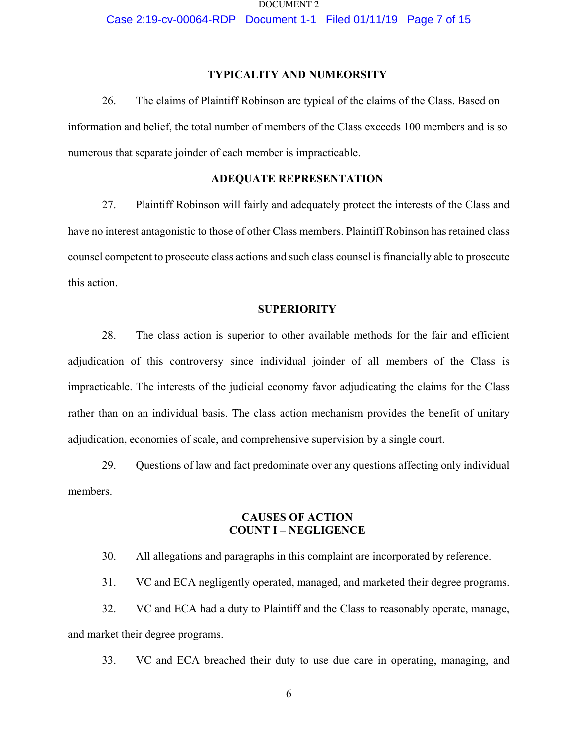Case 2:19-cv-00064-RDP Document 1-1 Filed 01/11/19 Page 7 of 15

## **TYPICALITY AND NUMEORSITY**

26. The claims of Plaintiff Robinson are typical of the claims of the Class. Based on information and belief, the total number of members of the Class exceeds 100 members and is so numerous that separate joinder of each member is impracticable.

## **ADEQUATE REPRESENTATION**

27. Plaintiff Robinson will fairly and adequately protect the interests of the Class and have no interest antagonistic to those of other Class members. Plaintiff Robinson has retained class counsel competent to prosecute class actions and such class counsel is financially able to prosecute this action.

### **SUPERIORITY**

28. The class action is superior to other available methods for the fair and efficient adjudication of this controversy since individual joinder of all members of the Class is impracticable. The interests of the judicial economy favor adjudicating the claims for the Class rather than on an individual basis. The class action mechanism provides the benefit of unitary adjudication, economies of scale, and comprehensive supervision by a single court.

29. Questions of law and fact predominate over any questions affecting only individual members.

## **CAUSES OF ACTION COUNT I – NEGLIGENCE**

30. All allegations and paragraphs in this complaint are incorporated by reference.

31. VC and ECA negligently operated, managed, and marketed their degree programs.

32. VC and ECA had a duty to Plaintiff and the Class to reasonably operate, manage, and market their degree programs.

33. VC and ECA breached their duty to use due care in operating, managing, and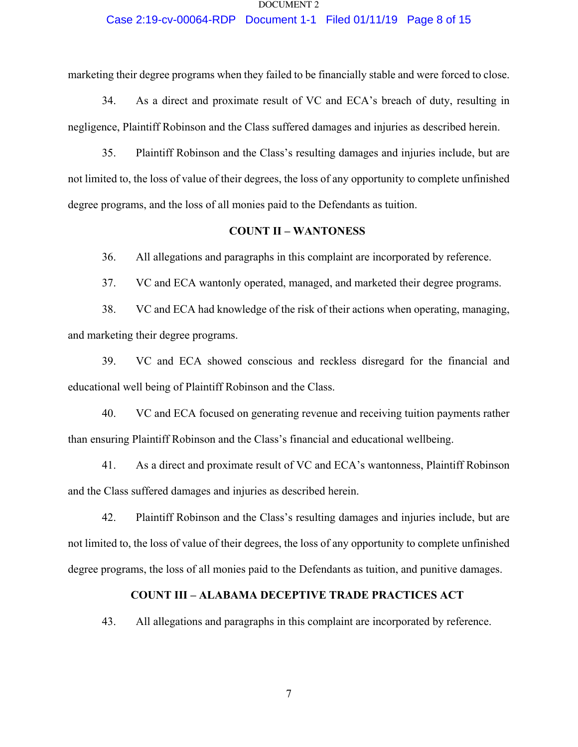### Case 2:19-cv-00064-RDP Document 1-1 Filed 01/11/19 Page 8 of 15

marketing their degree programs when they failed to be financially stable and were forced to close.

34. As a direct and proximate result of VC and ECA's breach of duty, resulting in negligence, Plaintiff Robinson and the Class suffered damages and injuries as described herein.

35. Plaintiff Robinson and the Class's resulting damages and injuries include, but are not limited to, the loss of value of their degrees, the loss of any opportunity to complete unfinished degree programs, and the loss of all monies paid to the Defendants as tuition.

## **COUNT II – WANTONESS**

36. All allegations and paragraphs in this complaint are incorporated by reference.

37. VC and ECA wantonly operated, managed, and marketed their degree programs.

38. VC and ECA had knowledge of the risk of their actions when operating, managing, and marketing their degree programs.

39. VC and ECA showed conscious and reckless disregard for the financial and educational well being of Plaintiff Robinson and the Class.

40. VC and ECA focused on generating revenue and receiving tuition payments rather than ensuring Plaintiff Robinson and the Class's financial and educational wellbeing.

41. As a direct and proximate result of VC and ECA's wantonness, Plaintiff Robinson and the Class suffered damages and injuries as described herein.

42. Plaintiff Robinson and the Class's resulting damages and injuries include, but are not limited to, the loss of value of their degrees, the loss of any opportunity to complete unfinished degree programs, the loss of all monies paid to the Defendants as tuition, and punitive damages.

## **COUNT III – ALABAMA DECEPTIVE TRADE PRACTICES ACT**

43. All allegations and paragraphs in this complaint are incorporated by reference.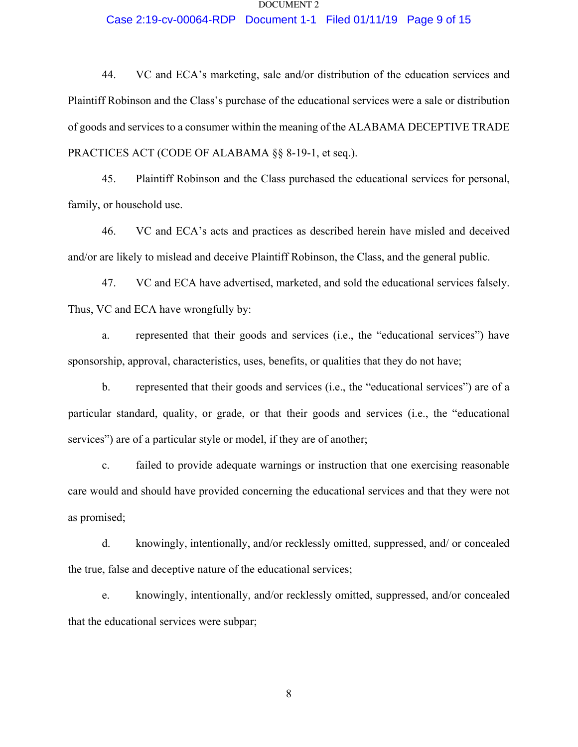## Case 2:19-cv-00064-RDP Document 1-1 Filed 01/11/19 Page 9 of 15

44. VC and ECA's marketing, sale and/or distribution of the education services and Plaintiff Robinson and the Class's purchase of the educational services were a sale or distribution of goods and services to a consumer within the meaning of the ALABAMA DECEPTIVE TRADE PRACTICES ACT (CODE OF ALABAMA §§ 8-19-1, et seq.).

45. Plaintiff Robinson and the Class purchased the educational services for personal, family, or household use.

46. VC and ECA's acts and practices as described herein have misled and deceived and/or are likely to mislead and deceive Plaintiff Robinson, the Class, and the general public.

47. VC and ECA have advertised, marketed, and sold the educational services falsely. Thus, VC and ECA have wrongfully by:

a. represented that their goods and services (i.e., the "educational services") have sponsorship, approval, characteristics, uses, benefits, or qualities that they do not have;

b. represented that their goods and services (i.e., the "educational services") are of a particular standard, quality, or grade, or that their goods and services (i.e., the "educational services") are of a particular style or model, if they are of another;

c. failed to provide adequate warnings or instruction that one exercising reasonable care would and should have provided concerning the educational services and that they were not as promised;

d. knowingly, intentionally, and/or recklessly omitted, suppressed, and/ or concealed the true, false and deceptive nature of the educational services;

e. knowingly, intentionally, and/or recklessly omitted, suppressed, and/or concealed that the educational services were subpar;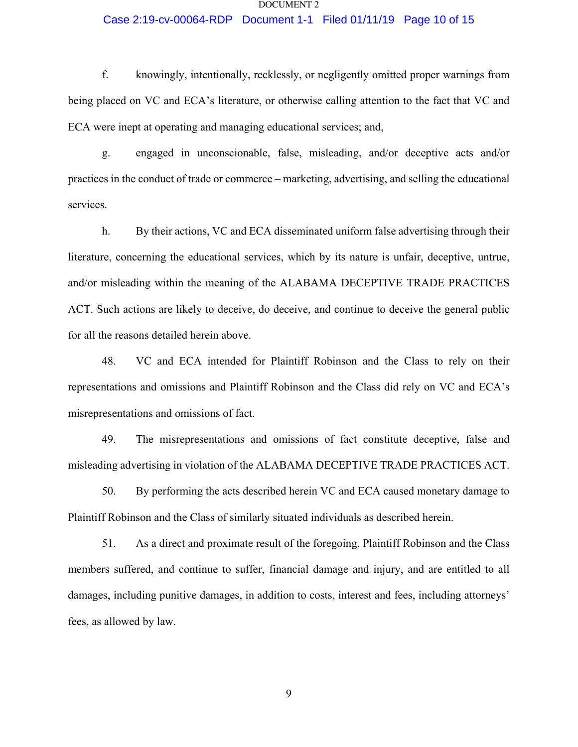## Case 2:19-cv-00064-RDP Document 1-1 Filed 01/11/19 Page 10 of 15

f. knowingly, intentionally, recklessly, or negligently omitted proper warnings from being placed on VC and ECA's literature, or otherwise calling attention to the fact that VC and ECA were inept at operating and managing educational services; and,

g. engaged in unconscionable, false, misleading, and/or deceptive acts and/or practices in the conduct of trade or commerce – marketing, advertising, and selling the educational services.

h. By their actions, VC and ECA disseminated uniform false advertising through their literature, concerning the educational services, which by its nature is unfair, deceptive, untrue, and/or misleading within the meaning of the ALABAMA DECEPTIVE TRADE PRACTICES ACT. Such actions are likely to deceive, do deceive, and continue to deceive the general public for all the reasons detailed herein above.

48. VC and ECA intended for Plaintiff Robinson and the Class to rely on their representations and omissions and Plaintiff Robinson and the Class did rely on VC and ECA's misrepresentations and omissions of fact.

49. The misrepresentations and omissions of fact constitute deceptive, false and misleading advertising in violation of the ALABAMA DECEPTIVE TRADE PRACTICES ACT.

50. By performing the acts described herein VC and ECA caused monetary damage to Plaintiff Robinson and the Class of similarly situated individuals as described herein.

51. As a direct and proximate result of the foregoing, Plaintiff Robinson and the Class members suffered, and continue to suffer, financial damage and injury, and are entitled to all damages, including punitive damages, in addition to costs, interest and fees, including attorneys' fees, as allowed by law.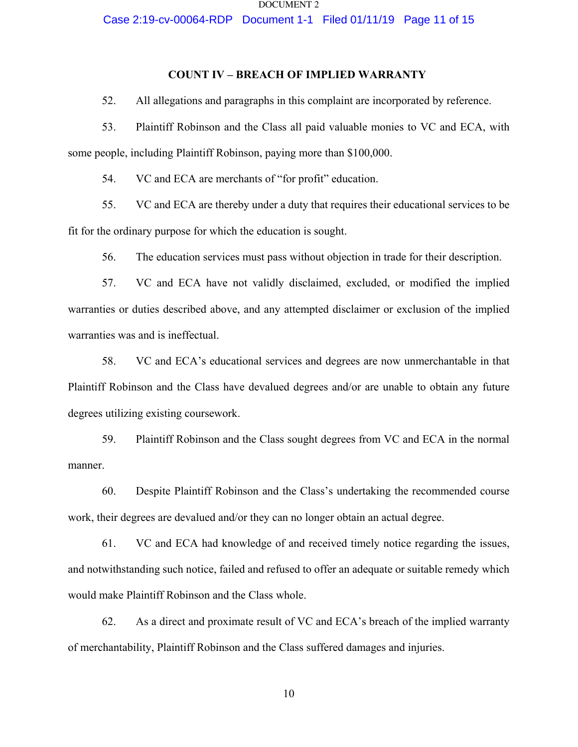Case 2:19-cv-00064-RDP Document 1-1 Filed 01/11/19 Page 11 of 15

## **COUNT IV – BREACH OF IMPLIED WARRANTY**

52. All allegations and paragraphs in this complaint are incorporated by reference.

53. Plaintiff Robinson and the Class all paid valuable monies to VC and ECA, with some people, including Plaintiff Robinson, paying more than \$100,000.

54. VC and ECA are merchants of "for profit" education.

55. VC and ECA are thereby under a duty that requires their educational services to be fit for the ordinary purpose for which the education is sought.

56. The education services must pass without objection in trade for their description.

57. VC and ECA have not validly disclaimed, excluded, or modified the implied warranties or duties described above, and any attempted disclaimer or exclusion of the implied warranties was and is ineffectual.

58. VC and ECA's educational services and degrees are now unmerchantable in that Plaintiff Robinson and the Class have devalued degrees and/or are unable to obtain any future degrees utilizing existing coursework.

59. Plaintiff Robinson and the Class sought degrees from VC and ECA in the normal manner.

60. Despite Plaintiff Robinson and the Class's undertaking the recommended course work, their degrees are devalued and/or they can no longer obtain an actual degree.

61. VC and ECA had knowledge of and received timely notice regarding the issues, and notwithstanding such notice, failed and refused to offer an adequate or suitable remedy which would make Plaintiff Robinson and the Class whole.

62. As a direct and proximate result of VC and ECA's breach of the implied warranty of merchantability, Plaintiff Robinson and the Class suffered damages and injuries.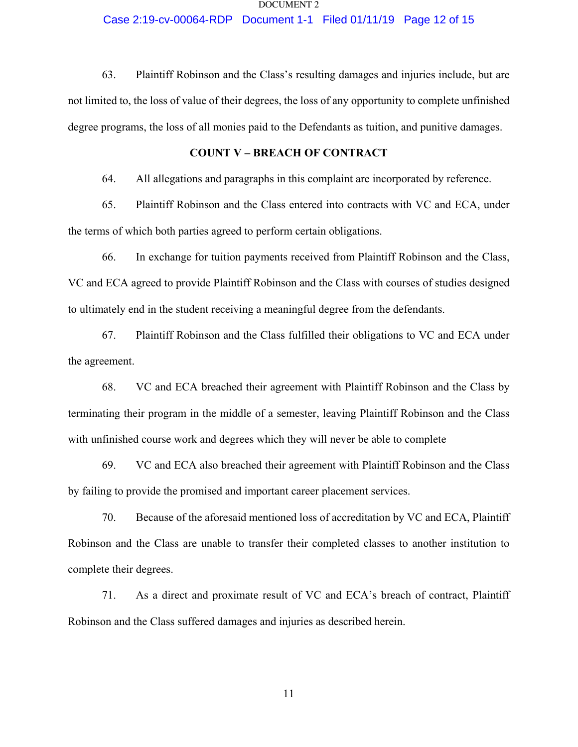## Case 2:19-cv-00064-RDP Document 1-1 Filed 01/11/19 Page 12 of 15

63. Plaintiff Robinson and the Class's resulting damages and injuries include, but are not limited to, the loss of value of their degrees, the loss of any opportunity to complete unfinished degree programs, the loss of all monies paid to the Defendants as tuition, and punitive damages.

## **COUNT V – BREACH OF CONTRACT**

64. All allegations and paragraphs in this complaint are incorporated by reference.

65. Plaintiff Robinson and the Class entered into contracts with VC and ECA, under the terms of which both parties agreed to perform certain obligations.

66. In exchange for tuition payments received from Plaintiff Robinson and the Class, VC and ECA agreed to provide Plaintiff Robinson and the Class with courses of studies designed to ultimately end in the student receiving a meaningful degree from the defendants.

67. Plaintiff Robinson and the Class fulfilled their obligations to VC and ECA under the agreement.

68. VC and ECA breached their agreement with Plaintiff Robinson and the Class by terminating their program in the middle of a semester, leaving Plaintiff Robinson and the Class with unfinished course work and degrees which they will never be able to complete

69. VC and ECA also breached their agreement with Plaintiff Robinson and the Class by failing to provide the promised and important career placement services.

70. Because of the aforesaid mentioned loss of accreditation by VC and ECA, Plaintiff Robinson and the Class are unable to transfer their completed classes to another institution to complete their degrees.

71. As a direct and proximate result of VC and ECA's breach of contract, Plaintiff Robinson and the Class suffered damages and injuries as described herein.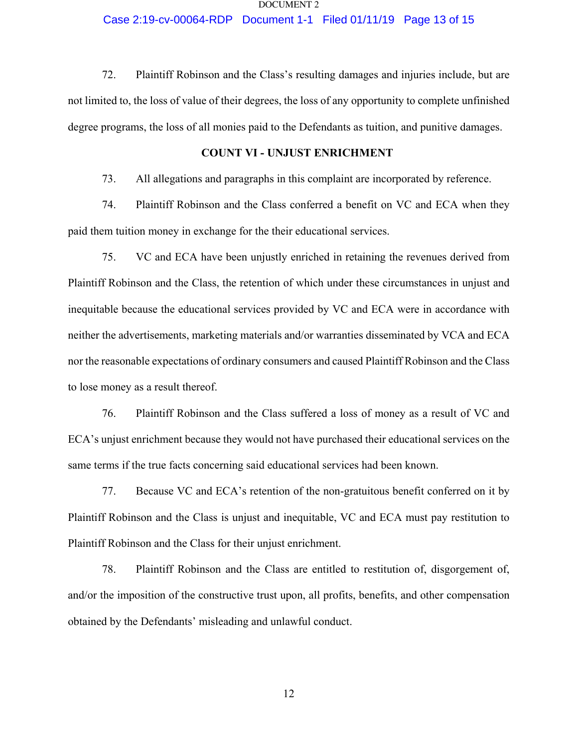## Case 2:19-cv-00064-RDP Document 1-1 Filed 01/11/19 Page 13 of 15

72. Plaintiff Robinson and the Class's resulting damages and injuries include, but are not limited to, the loss of value of their degrees, the loss of any opportunity to complete unfinished degree programs, the loss of all monies paid to the Defendants as tuition, and punitive damages.

## **COUNT VI - UNJUST ENRICHMENT**

73. All allegations and paragraphs in this complaint are incorporated by reference.

74. Plaintiff Robinson and the Class conferred a benefit on VC and ECA when they paid them tuition money in exchange for the their educational services.

75. VC and ECA have been unjustly enriched in retaining the revenues derived from Plaintiff Robinson and the Class, the retention of which under these circumstances in unjust and inequitable because the educational services provided by VC and ECA were in accordance with neither the advertisements, marketing materials and/or warranties disseminated by VCA and ECA nor the reasonable expectations of ordinary consumers and caused Plaintiff Robinson and the Class to lose money as a result thereof.

76. Plaintiff Robinson and the Class suffered a loss of money as a result of VC and ECA's unjust enrichment because they would not have purchased their educational services on the same terms if the true facts concerning said educational services had been known.

77. Because VC and ECA's retention of the non-gratuitous benefit conferred on it by Plaintiff Robinson and the Class is unjust and inequitable, VC and ECA must pay restitution to Plaintiff Robinson and the Class for their unjust enrichment.

78. Plaintiff Robinson and the Class are entitled to restitution of, disgorgement of, and/or the imposition of the constructive trust upon, all profits, benefits, and other compensation obtained by the Defendants' misleading and unlawful conduct.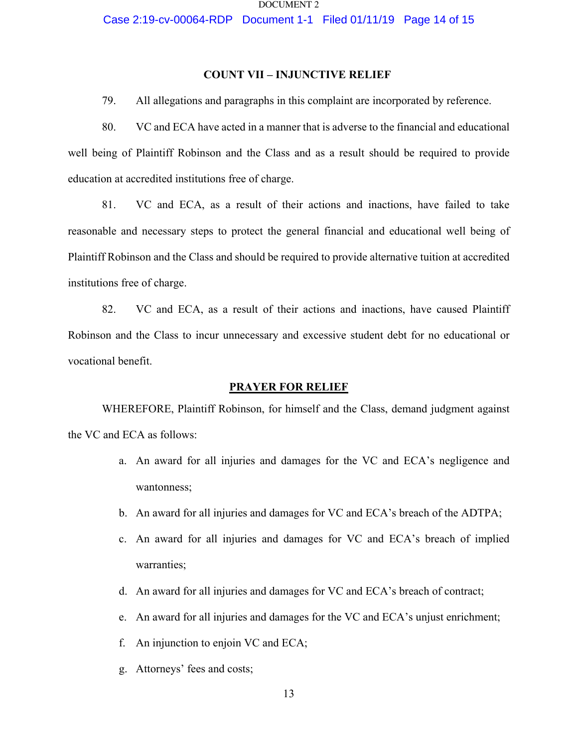Case 2:19-cv-00064-RDP Document 1-1 Filed 01/11/19 Page 14 of 15

## **COUNT VII – INJUNCTIVE RELIEF**

79. All allegations and paragraphs in this complaint are incorporated by reference.

80. VC and ECA have acted in a manner that is adverse to the financial and educational well being of Plaintiff Robinson and the Class and as a result should be required to provide education at accredited institutions free of charge.

81. VC and ECA, as a result of their actions and inactions, have failed to take reasonable and necessary steps to protect the general financial and educational well being of Plaintiff Robinson and the Class and should be required to provide alternative tuition at accredited institutions free of charge.

82. VC and ECA, as a result of their actions and inactions, have caused Plaintiff Robinson and the Class to incur unnecessary and excessive student debt for no educational or vocational benefit.

### **PRAYER FOR RELIEF**

WHEREFORE, Plaintiff Robinson, for himself and the Class, demand judgment against the VC and ECA as follows:

- a. An award for all injuries and damages for the VC and ECA's negligence and wantonness;
- b. An award for all injuries and damages for VC and ECA's breach of the ADTPA;
- c. An award for all injuries and damages for VC and ECA's breach of implied warranties;
- d. An award for all injuries and damages for VC and ECA's breach of contract;
- e. An award for all injuries and damages for the VC and ECA's unjust enrichment;
- f. An injunction to enjoin VC and ECA;
- g. Attorneys' fees and costs;